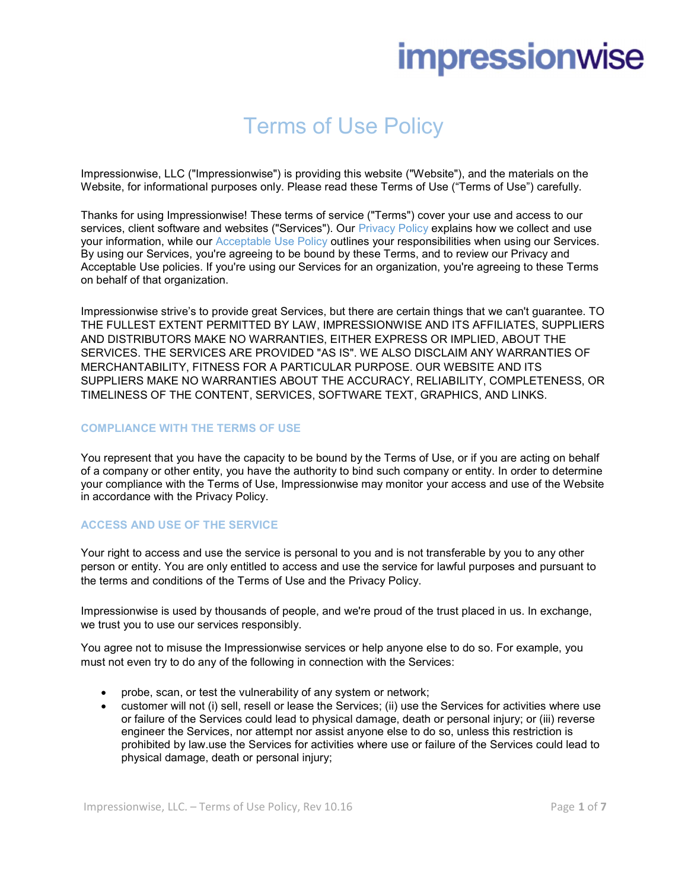# **impressionwise**

# Terms of Use Policy

Impressionwise, LLC ("Impressionwise") is providing this website ("Website"), and the materials on the Website, for informational purposes only. Please read these Terms of Use ("Terms of Use") carefully.

Thanks for using Impressionwise! These terms of service ("Terms") cover your use and access to our services, client software and websites ("Services"). Our Privacy Policy explains how we collect and use your information, while our Acceptable Use Policy outlines your responsibilities when using our Services. By using our Services, you're agreeing to be bound by these Terms, and to review our Privacy and Acceptable Use policies. If you're using our Services for an organization, you're agreeing to these Terms on behalf of that organization.

Impressionwise strive's to provide great Services, but there are certain things that we can't guarantee. TO THE FULLEST EXTENT PERMITTED BY LAW, IMPRESSIONWISE AND ITS AFFILIATES, SUPPLIERS AND DISTRIBUTORS MAKE NO WARRANTIES, EITHER EXPRESS OR IMPLIED, ABOUT THE SERVICES. THE SERVICES ARE PROVIDED "AS IS". WE ALSO DISCLAIM ANY WARRANTIES OF MERCHANTABILITY, FITNESS FOR A PARTICULAR PURPOSE. OUR WEBSITE AND ITS SUPPLIERS MAKE NO WARRANTIES ABOUT THE ACCURACY, RELIABILITY, COMPLETENESS, OR TIMELINESS OF THE CONTENT, SERVICES, SOFTWARE TEXT, GRAPHICS, AND LINKS.

# COMPLIANCE WITH THE TERMS OF USE

You represent that you have the capacity to be bound by the Terms of Use, or if you are acting on behalf of a company or other entity, you have the authority to bind such company or entity. In order to determine your compliance with the Terms of Use, Impressionwise may monitor your access and use of the Website in accordance with the Privacy Policy.

### ACCESS AND USE OF THE SERVICE

Your right to access and use the service is personal to you and is not transferable by you to any other person or entity. You are only entitled to access and use the service for lawful purposes and pursuant to the terms and conditions of the Terms of Use and the Privacy Policy.

Impressionwise is used by thousands of people, and we're proud of the trust placed in us. In exchange, we trust you to use our services responsibly.

You agree not to misuse the Impressionwise services or help anyone else to do so. For example, you must not even try to do any of the following in connection with the Services:

- probe, scan, or test the vulnerability of any system or network;
- customer will not (i) sell, resell or lease the Services; (ii) use the Services for activities where use or failure of the Services could lead to physical damage, death or personal injury; or (iii) reverse engineer the Services, nor attempt nor assist anyone else to do so, unless this restriction is prohibited by law.use the Services for activities where use or failure of the Services could lead to physical damage, death or personal injury;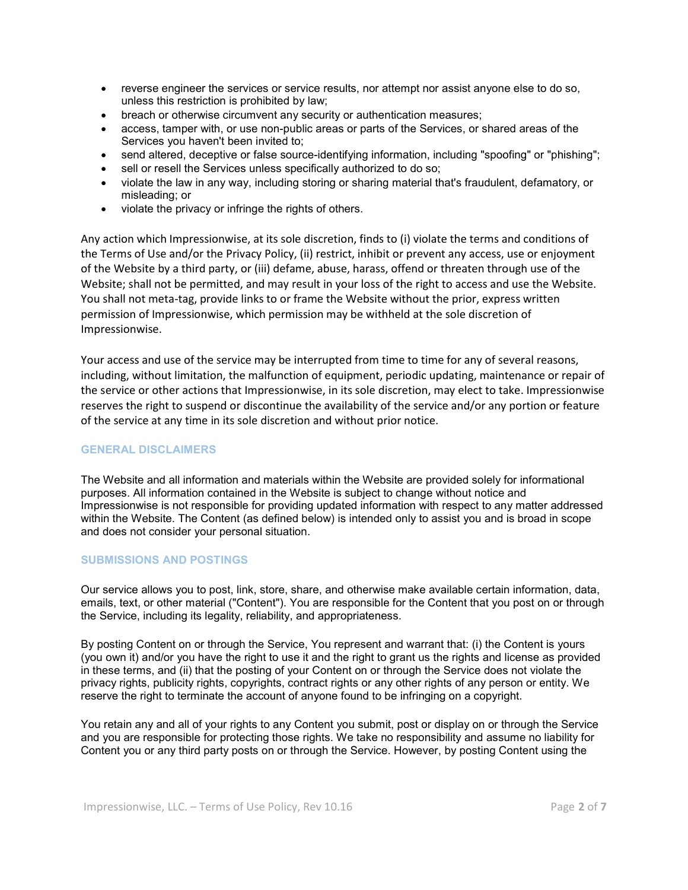- reverse engineer the services or service results, nor attempt nor assist anyone else to do so, unless this restriction is prohibited by law;
- breach or otherwise circumvent any security or authentication measures;
- access, tamper with, or use non-public areas or parts of the Services, or shared areas of the Services you haven't been invited to;
- send altered, deceptive or false source-identifying information, including "spoofing" or "phishing";
- sell or resell the Services unless specifically authorized to do so:
- violate the law in any way, including storing or sharing material that's fraudulent, defamatory, or misleading; or
- violate the privacy or infringe the rights of others.

Any action which Impressionwise, at its sole discretion, finds to (i) violate the terms and conditions of the Terms of Use and/or the Privacy Policy, (ii) restrict, inhibit or prevent any access, use or enjoyment of the Website by a third party, or (iii) defame, abuse, harass, offend or threaten through use of the Website; shall not be permitted, and may result in your loss of the right to access and use the Website. You shall not meta-tag, provide links to or frame the Website without the prior, express written permission of Impressionwise, which permission may be withheld at the sole discretion of Impressionwise.

Your access and use of the service may be interrupted from time to time for any of several reasons, including, without limitation, the malfunction of equipment, periodic updating, maintenance or repair of the service or other actions that Impressionwise, in its sole discretion, may elect to take. Impressionwise reserves the right to suspend or discontinue the availability of the service and/or any portion or feature of the service at any time in its sole discretion and without prior notice.

### GENERAL DISCLAIMERS

The Website and all information and materials within the Website are provided solely for informational purposes. All information contained in the Website is subject to change without notice and Impressionwise is not responsible for providing updated information with respect to any matter addressed within the Website. The Content (as defined below) is intended only to assist you and is broad in scope and does not consider your personal situation.

### SUBMISSIONS AND POSTINGS

Our service allows you to post, link, store, share, and otherwise make available certain information, data, emails, text, or other material ("Content"). You are responsible for the Content that you post on or through the Service, including its legality, reliability, and appropriateness.

By posting Content on or through the Service, You represent and warrant that: (i) the Content is yours (you own it) and/or you have the right to use it and the right to grant us the rights and license as provided in these terms, and (ii) that the posting of your Content on or through the Service does not violate the privacy rights, publicity rights, copyrights, contract rights or any other rights of any person or entity. We reserve the right to terminate the account of anyone found to be infringing on a copyright.

You retain any and all of your rights to any Content you submit, post or display on or through the Service and you are responsible for protecting those rights. We take no responsibility and assume no liability for Content you or any third party posts on or through the Service. However, by posting Content using the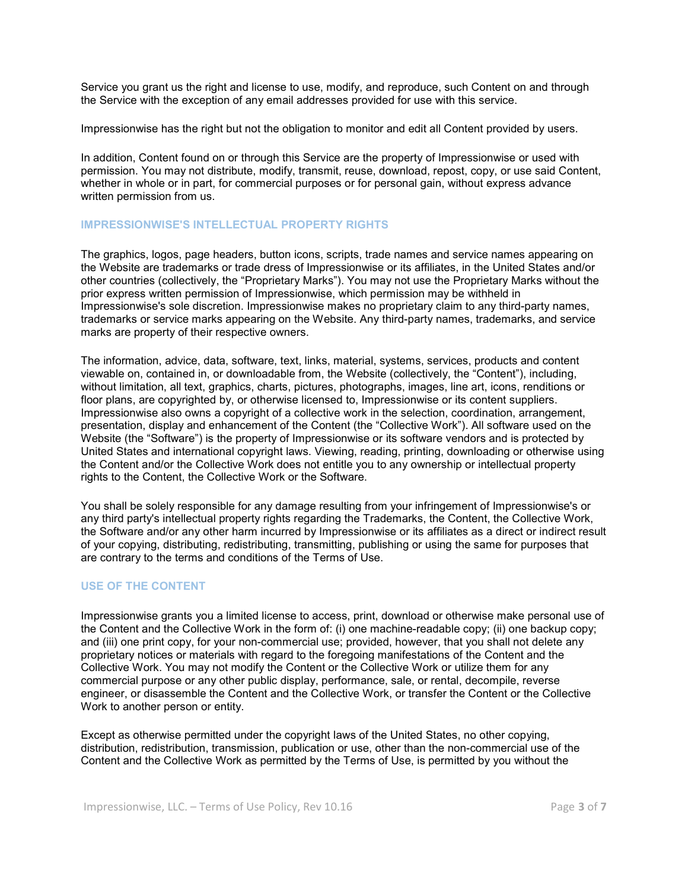Service you grant us the right and license to use, modify, and reproduce, such Content on and through the Service with the exception of any email addresses provided for use with this service.

Impressionwise has the right but not the obligation to monitor and edit all Content provided by users.

In addition, Content found on or through this Service are the property of Impressionwise or used with permission. You may not distribute, modify, transmit, reuse, download, repost, copy, or use said Content, whether in whole or in part, for commercial purposes or for personal gain, without express advance written permission from us.

# IMPRESSIONWISE'S INTELLECTUAL PROPERTY RIGHTS

The graphics, logos, page headers, button icons, scripts, trade names and service names appearing on the Website are trademarks or trade dress of Impressionwise or its affiliates, in the United States and/or other countries (collectively, the "Proprietary Marks"). You may not use the Proprietary Marks without the prior express written permission of Impressionwise, which permission may be withheld in Impressionwise's sole discretion. Impressionwise makes no proprietary claim to any third-party names, trademarks or service marks appearing on the Website. Any third-party names, trademarks, and service marks are property of their respective owners.

The information, advice, data, software, text, links, material, systems, services, products and content viewable on, contained in, or downloadable from, the Website (collectively, the "Content"), including, without limitation, all text, graphics, charts, pictures, photographs, images, line art, icons, renditions or floor plans, are copyrighted by, or otherwise licensed to, Impressionwise or its content suppliers. Impressionwise also owns a copyright of a collective work in the selection, coordination, arrangement, presentation, display and enhancement of the Content (the "Collective Work"). All software used on the Website (the "Software") is the property of Impressionwise or its software vendors and is protected by United States and international copyright laws. Viewing, reading, printing, downloading or otherwise using the Content and/or the Collective Work does not entitle you to any ownership or intellectual property rights to the Content, the Collective Work or the Software.

You shall be solely responsible for any damage resulting from your infringement of Impressionwise's or any third party's intellectual property rights regarding the Trademarks, the Content, the Collective Work, the Software and/or any other harm incurred by Impressionwise or its affiliates as a direct or indirect result of your copying, distributing, redistributing, transmitting, publishing or using the same for purposes that are contrary to the terms and conditions of the Terms of Use.

### USE OF THE CONTENT

Impressionwise grants you a limited license to access, print, download or otherwise make personal use of the Content and the Collective Work in the form of: (i) one machine-readable copy; (ii) one backup copy; and (iii) one print copy, for your non-commercial use; provided, however, that you shall not delete any proprietary notices or materials with regard to the foregoing manifestations of the Content and the Collective Work. You may not modify the Content or the Collective Work or utilize them for any commercial purpose or any other public display, performance, sale, or rental, decompile, reverse engineer, or disassemble the Content and the Collective Work, or transfer the Content or the Collective Work to another person or entity.

Except as otherwise permitted under the copyright laws of the United States, no other copying, distribution, redistribution, transmission, publication or use, other than the non-commercial use of the Content and the Collective Work as permitted by the Terms of Use, is permitted by you without the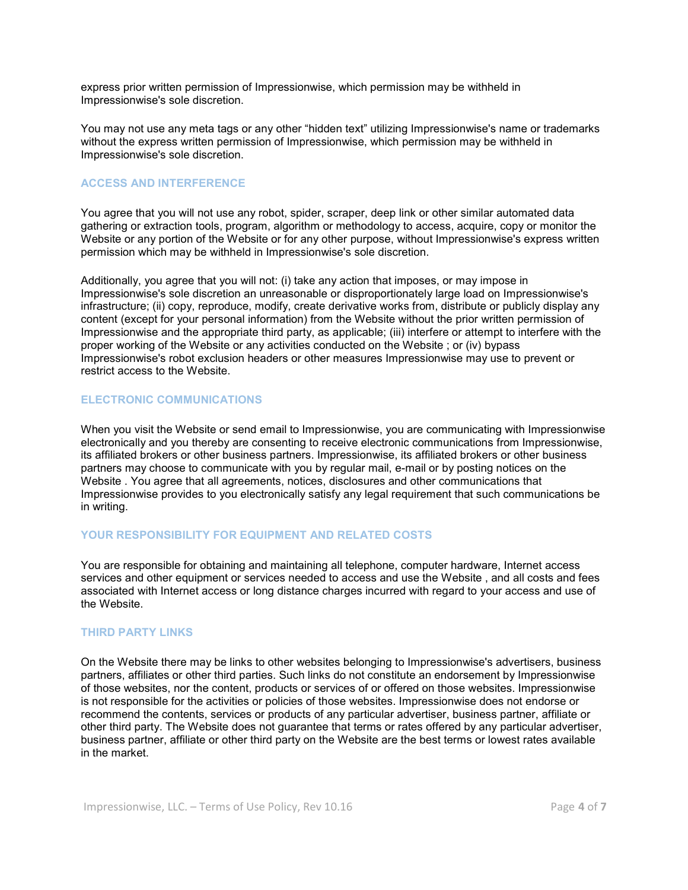express prior written permission of Impressionwise, which permission may be withheld in Impressionwise's sole discretion.

You may not use any meta tags or any other "hidden text" utilizing Impressionwise's name or trademarks without the express written permission of Impressionwise, which permission may be withheld in Impressionwise's sole discretion.

# ACCESS AND INTERFERENCE

You agree that you will not use any robot, spider, scraper, deep link or other similar automated data gathering or extraction tools, program, algorithm or methodology to access, acquire, copy or monitor the Website or any portion of the Website or for any other purpose, without Impressionwise's express written permission which may be withheld in Impressionwise's sole discretion.

Additionally, you agree that you will not: (i) take any action that imposes, or may impose in Impressionwise's sole discretion an unreasonable or disproportionately large load on Impressionwise's infrastructure; (ii) copy, reproduce, modify, create derivative works from, distribute or publicly display any content (except for your personal information) from the Website without the prior written permission of Impressionwise and the appropriate third party, as applicable; (iii) interfere or attempt to interfere with the proper working of the Website or any activities conducted on the Website ; or (iv) bypass Impressionwise's robot exclusion headers or other measures Impressionwise may use to prevent or restrict access to the Website.

### ELECTRONIC COMMUNICATIONS

When you visit the Website or send email to Impressionwise, you are communicating with Impressionwise electronically and you thereby are consenting to receive electronic communications from Impressionwise, its affiliated brokers or other business partners. Impressionwise, its affiliated brokers or other business partners may choose to communicate with you by regular mail, e-mail or by posting notices on the Website . You agree that all agreements, notices, disclosures and other communications that Impressionwise provides to you electronically satisfy any legal requirement that such communications be in writing.

### YOUR RESPONSIBILITY FOR EQUIPMENT AND RELATED COSTS

You are responsible for obtaining and maintaining all telephone, computer hardware, Internet access services and other equipment or services needed to access and use the Website , and all costs and fees associated with Internet access or long distance charges incurred with regard to your access and use of the Website.

### THIRD PARTY LINKS

On the Website there may be links to other websites belonging to Impressionwise's advertisers, business partners, affiliates or other third parties. Such links do not constitute an endorsement by Impressionwise of those websites, nor the content, products or services of or offered on those websites. Impressionwise is not responsible for the activities or policies of those websites. Impressionwise does not endorse or recommend the contents, services or products of any particular advertiser, business partner, affiliate or other third party. The Website does not guarantee that terms or rates offered by any particular advertiser, business partner, affiliate or other third party on the Website are the best terms or lowest rates available in the market.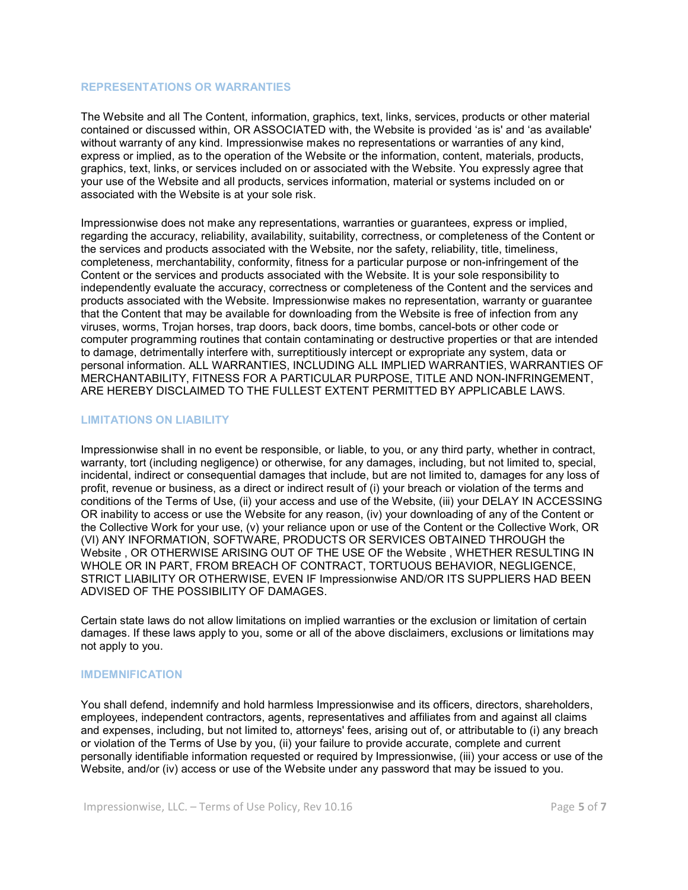#### REPRESENTATIONS OR WARRANTIES

The Website and all The Content, information, graphics, text, links, services, products or other material contained or discussed within, OR ASSOCIATED with, the Website is provided 'as is' and 'as available' without warranty of any kind. Impressionwise makes no representations or warranties of any kind, express or implied, as to the operation of the Website or the information, content, materials, products, graphics, text, links, or services included on or associated with the Website. You expressly agree that your use of the Website and all products, services information, material or systems included on or associated with the Website is at your sole risk.

Impressionwise does not make any representations, warranties or guarantees, express or implied, regarding the accuracy, reliability, availability, suitability, correctness, or completeness of the Content or the services and products associated with the Website, nor the safety, reliability, title, timeliness, completeness, merchantability, conformity, fitness for a particular purpose or non-infringement of the Content or the services and products associated with the Website. It is your sole responsibility to independently evaluate the accuracy, correctness or completeness of the Content and the services and products associated with the Website. Impressionwise makes no representation, warranty or guarantee that the Content that may be available for downloading from the Website is free of infection from any viruses, worms, Trojan horses, trap doors, back doors, time bombs, cancel-bots or other code or computer programming routines that contain contaminating or destructive properties or that are intended to damage, detrimentally interfere with, surreptitiously intercept or expropriate any system, data or personal information. ALL WARRANTIES, INCLUDING ALL IMPLIED WARRANTIES, WARRANTIES OF MERCHANTABILITY, FITNESS FOR A PARTICULAR PURPOSE, TITLE AND NON-INFRINGEMENT, ARE HEREBY DISCLAIMED TO THE FULLEST EXTENT PERMITTED BY APPLICABLE LAWS.

# LIMITATIONS ON LIABILITY

Impressionwise shall in no event be responsible, or liable, to you, or any third party, whether in contract, warranty, tort (including negligence) or otherwise, for any damages, including, but not limited to, special, incidental, indirect or consequential damages that include, but are not limited to, damages for any loss of profit, revenue or business, as a direct or indirect result of (i) your breach or violation of the terms and conditions of the Terms of Use, (ii) your access and use of the Website, (iii) your DELAY IN ACCESSING OR inability to access or use the Website for any reason, (iv) your downloading of any of the Content or the Collective Work for your use, (v) your reliance upon or use of the Content or the Collective Work, OR (VI) ANY INFORMATION, SOFTWARE, PRODUCTS OR SERVICES OBTAINED THROUGH the Website , OR OTHERWISE ARISING OUT OF THE USE OF the Website , WHETHER RESULTING IN WHOLE OR IN PART, FROM BREACH OF CONTRACT, TORTUOUS BEHAVIOR, NEGLIGENCE, STRICT LIABILITY OR OTHERWISE, EVEN IF Impressionwise AND/OR ITS SUPPLIERS HAD BEEN ADVISED OF THE POSSIBILITY OF DAMAGES.

Certain state laws do not allow limitations on implied warranties or the exclusion or limitation of certain damages. If these laws apply to you, some or all of the above disclaimers, exclusions or limitations may not apply to you.

### IMDEMNIFICATION

You shall defend, indemnify and hold harmless Impressionwise and its officers, directors, shareholders, employees, independent contractors, agents, representatives and affiliates from and against all claims and expenses, including, but not limited to, attorneys' fees, arising out of, or attributable to (i) any breach or violation of the Terms of Use by you, (ii) your failure to provide accurate, complete and current personally identifiable information requested or required by Impressionwise, (iii) your access or use of the Website, and/or (iv) access or use of the Website under any password that may be issued to you.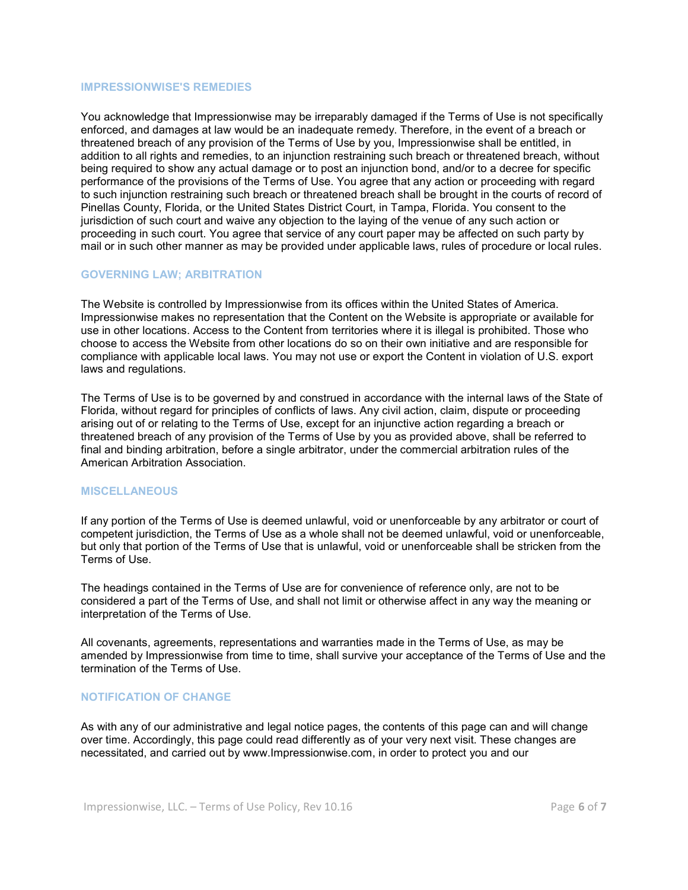#### IMPRESSIONWISE'S REMEDIES

You acknowledge that Impressionwise may be irreparably damaged if the Terms of Use is not specifically enforced, and damages at law would be an inadequate remedy. Therefore, in the event of a breach or threatened breach of any provision of the Terms of Use by you, Impressionwise shall be entitled, in addition to all rights and remedies, to an injunction restraining such breach or threatened breach, without being required to show any actual damage or to post an injunction bond, and/or to a decree for specific performance of the provisions of the Terms of Use. You agree that any action or proceeding with regard to such injunction restraining such breach or threatened breach shall be brought in the courts of record of Pinellas County, Florida, or the United States District Court, in Tampa, Florida. You consent to the jurisdiction of such court and waive any objection to the laying of the venue of any such action or proceeding in such court. You agree that service of any court paper may be affected on such party by mail or in such other manner as may be provided under applicable laws, rules of procedure or local rules.

#### GOVERNING LAW; ARBITRATION

The Website is controlled by Impressionwise from its offices within the United States of America. Impressionwise makes no representation that the Content on the Website is appropriate or available for use in other locations. Access to the Content from territories where it is illegal is prohibited. Those who choose to access the Website from other locations do so on their own initiative and are responsible for compliance with applicable local laws. You may not use or export the Content in violation of U.S. export laws and regulations.

The Terms of Use is to be governed by and construed in accordance with the internal laws of the State of Florida, without regard for principles of conflicts of laws. Any civil action, claim, dispute or proceeding arising out of or relating to the Terms of Use, except for an injunctive action regarding a breach or threatened breach of any provision of the Terms of Use by you as provided above, shall be referred to final and binding arbitration, before a single arbitrator, under the commercial arbitration rules of the American Arbitration Association.

#### **MISCELLANEOUS**

If any portion of the Terms of Use is deemed unlawful, void or unenforceable by any arbitrator or court of competent jurisdiction, the Terms of Use as a whole shall not be deemed unlawful, void or unenforceable, but only that portion of the Terms of Use that is unlawful, void or unenforceable shall be stricken from the Terms of Use.

The headings contained in the Terms of Use are for convenience of reference only, are not to be considered a part of the Terms of Use, and shall not limit or otherwise affect in any way the meaning or interpretation of the Terms of Use.

All covenants, agreements, representations and warranties made in the Terms of Use, as may be amended by Impressionwise from time to time, shall survive your acceptance of the Terms of Use and the termination of the Terms of Use.

#### NOTIFICATION OF CHANGE

As with any of our administrative and legal notice pages, the contents of this page can and will change over time. Accordingly, this page could read differently as of your very next visit. These changes are necessitated, and carried out by www.Impressionwise.com, in order to protect you and our